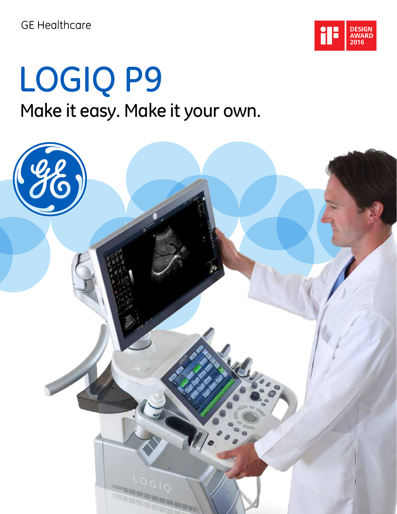

# LOGIQ P9 Make it easy. Make it your own.

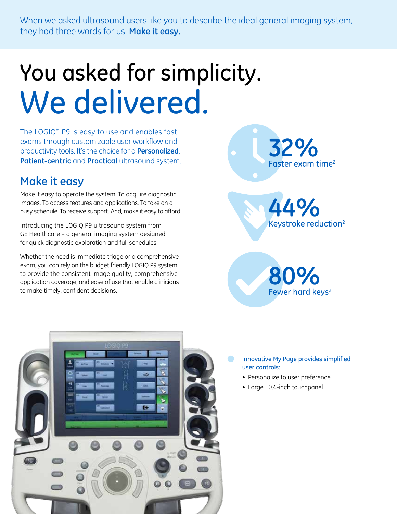When we asked ultrasound users like you to describe the ideal general imaging system, they had three words for us. **Make it easy.**

# You asked for simplicity. We delivered.

The LOGIQ™ P9 is easy to use and enables fast exams through customizable user workflow and productivity tools. It's the choice for a **Personalized**, **Patient-centric** and **Practical** ultrasound system.

## **Make it easy**

Make it easy to operate the system. To acquire diagnostic images. To access features and applications. To take on a busy schedule. To receive support. And, make it easy to afford.

Introducing the LOGIQ P9 ultrasound system from GE Healthcare – a general imaging system designed for quick diagnostic exploration and full schedules.

Whether the need is immediate triage or a comprehensive exam, you can rely on the budget friendly LOGIQ P9 system to provide the consistent image quality, comprehensive application coverage, and ease of use that enable clinicians to make timely, confident decisions.



**44%** Keystroke reduction2





- Personalize to user preference
- Large 10.4-inch touchpanel

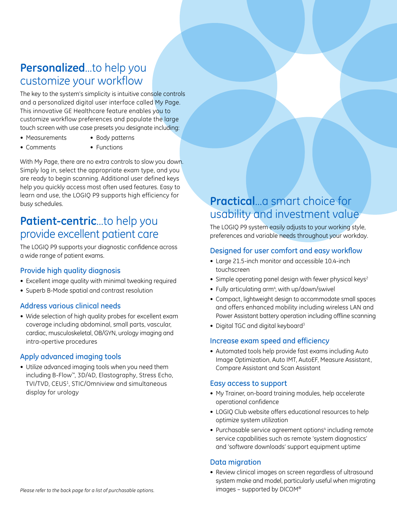## **Personalized**...to help you customize your workflow

The key to the system's simplicity is intuitive console controls and a personalized digital user interface called My Page. This innovative GE Healthcare feature enables you to customize workflow preferences and populate the large touch screen with use case presets you designate including:

- Measurements Body patterns
- Comments Functions

With My Page, there are no extra controls to slow you down. Simply log in, select the appropriate exam type, and you are ready to begin scanning. Additional user defined keys help you quickly access most often used features. Easy to learn and use, the LOGIQ P9 supports high efficiency for busy schedules.

## **Patient-centric**...to help you provide excellent patient care

The LOGIQ P9 supports your diagnostic confidence across a wide range of patient exams.

## Provide high quality diagnosis

- Excellent image quality with minimal tweaking required
- Superb B-Mode spatial and contrast resolution

#### Address various clinical needs

• Wide selection of high quality probes for excellent exam coverage including abdominal, small parts, vascular, cardiac, musculoskeletal, OB/GYN, urology imaging and intra-opertive procedures

## Apply advanced imaging tools

• Utilize advanced imaging tools when you need them including B-Flow™, 3D/4D, Elastography, Stress Echo, TVI/TVD, CEUS<sup>1</sup>, STIC/Omniview and simultaneous display for urology

## **Practical**...a smart choice for usability and investment value

The LOGIQ P9 system easily adjusts to your working style, preferences and variable needs throughout your workday.

#### Designed for user comfort and easy workflow

- Large 21.5-inch monitor and accessible 10.4-inch touchscreen
- Simple operating panel design with fewer physical keys<sup>2</sup>
- Fully articulating arm<sup>4</sup>, with up/down/swivel
- Compact, lightweight design to accommodate small spaces and offers enhanced mobility including wireless LAN and Power Assistant battery operation including offline scanning
- Digital TGC and digital keyboard<sup>3</sup>

#### Increase exam speed and efficiency

• Automated tools help provide fast exams including Auto Image Optimization, Auto IMT, AutoEF, Measure Assistant, Compare Assistant and Scan Assistant

#### Easy access to support

- My Trainer, on-board training modules, help accelerate operational confidence
- LOGIQ Club website offers educational resources to help optimize system utilization
- Purchasable service agreement options<sup>4</sup> including remote service capabilities such as remote 'system diagnostics' and 'software downloads' support equipment uptime

## Data migration

• Review clinical images on screen regardless of ultrasound system make and model, particularly useful when migrating